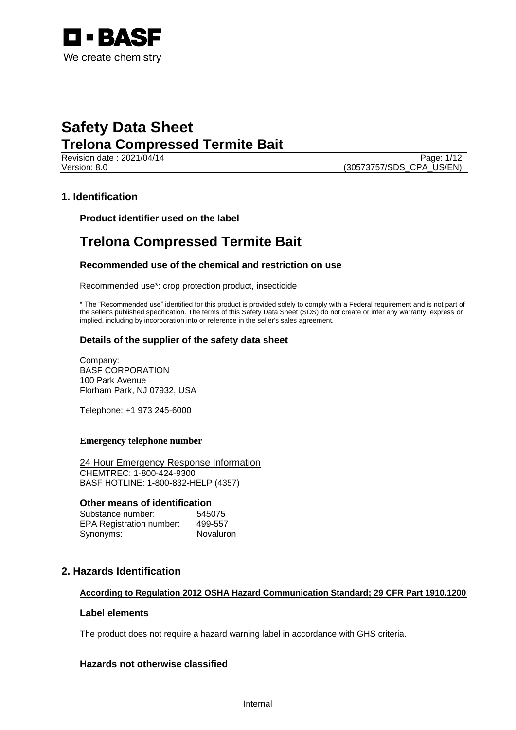

Revision date : 2021/04/14 Page: 1/12 Version: 8.0 (30573757/SDS\_CPA\_US/EN)

## **1. Identification**

**Product identifier used on the label**

# **Trelona Compressed Termite Bait**

## **Recommended use of the chemical and restriction on use**

Recommended use\*: crop protection product, insecticide

\* The "Recommended use" identified for this product is provided solely to comply with a Federal requirement and is not part of the seller's published specification. The terms of this Safety Data Sheet (SDS) do not create or infer any warranty, express or implied, including by incorporation into or reference in the seller's sales agreement.

## **Details of the supplier of the safety data sheet**

Company: BASF CORPORATION 100 Park Avenue Florham Park, NJ 07932, USA

Telephone: +1 973 245-6000

#### **Emergency telephone number**

24 Hour Emergency Response Information CHEMTREC: 1-800-424-9300 BASF HOTLINE: 1-800-832-HELP (4357)

## **Other means of identification**

| Substance number:               | 545075    |
|---------------------------------|-----------|
| <b>EPA Registration number:</b> | 499-557   |
| Synonyms:                       | Novaluron |

# **2. Hazards Identification**

## **According to Regulation 2012 OSHA Hazard Communication Standard; 29 CFR Part 1910.1200**

#### **Label elements**

The product does not require a hazard warning label in accordance with GHS criteria.

## **Hazards not otherwise classified**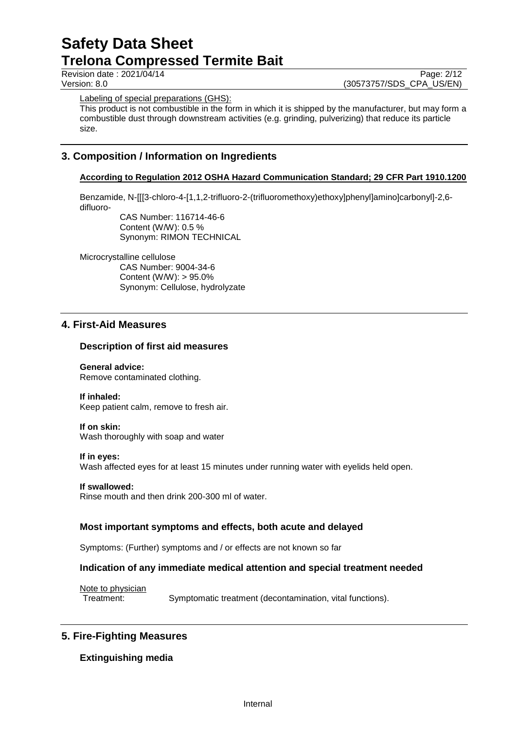Revision date : 2021/04/14 Page: 2/12<br>Version: 8.0 (30573757/SDS CPA US/EN) (30573757/SDS\_CPA\_US/EN)

Labeling of special preparations (GHS):

This product is not combustible in the form in which it is shipped by the manufacturer, but may form a combustible dust through downstream activities (e.g. grinding, pulverizing) that reduce its particle size.

# **3. Composition / Information on Ingredients**

## **According to Regulation 2012 OSHA Hazard Communication Standard; 29 CFR Part 1910.1200**

Benzamide, N-[[[3-chloro-4-[1,1,2-trifluoro-2-(trifluoromethoxy)ethoxy]phenyl]amino]carbonyl]-2,6 difluoro-

CAS Number: 116714-46-6 Content (W/W): 0.5 % Synonym: RIMON TECHNICAL

Microcrystalline cellulose

CAS Number: 9004-34-6 Content (W/W): > 95.0% Synonym: Cellulose, hydrolyzate

# **4. First-Aid Measures**

#### **Description of first aid measures**

**General advice:** Remove contaminated clothing.

#### **If inhaled:**

Keep patient calm, remove to fresh air.

#### **If on skin:**

Wash thoroughly with soap and water

#### **If in eyes:**

Wash affected eyes for at least 15 minutes under running water with eyelids held open.

**If swallowed:**

Rinse mouth and then drink 200-300 ml of water.

## **Most important symptoms and effects, both acute and delayed**

Symptoms: (Further) symptoms and / or effects are not known so far

#### **Indication of any immediate medical attention and special treatment needed**

Note to physician

Treatment: Symptomatic treatment (decontamination, vital functions).

# **5. Fire-Fighting Measures**

## **Extinguishing media**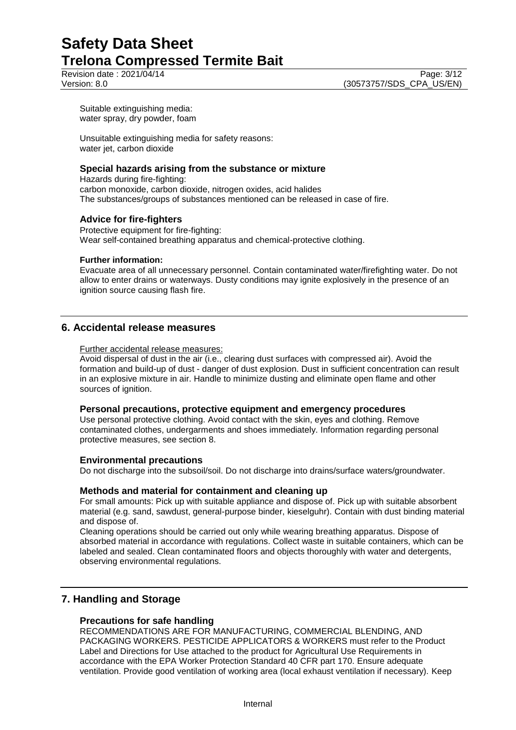Revision date : 2021/04/14 Page: 3/12<br>Version: 8.0 (30573757/SDS CPA US/EN)

Suitable extinguishing media: water spray, dry powder, foam

Unsuitable extinguishing media for safety reasons: water jet, carbon dioxide

#### **Special hazards arising from the substance or mixture**

Hazards during fire-fighting: carbon monoxide, carbon dioxide, nitrogen oxides, acid halides The substances/groups of substances mentioned can be released in case of fire.

## **Advice for fire-fighters**

Protective equipment for fire-fighting: Wear self-contained breathing apparatus and chemical-protective clothing.

#### **Further information:**

Evacuate area of all unnecessary personnel. Contain contaminated water/firefighting water. Do not allow to enter drains or waterways. Dusty conditions may ignite explosively in the presence of an ignition source causing flash fire.

# **6. Accidental release measures**

Further accidental release measures:

Avoid dispersal of dust in the air (i.e., clearing dust surfaces with compressed air). Avoid the formation and build-up of dust - danger of dust explosion. Dust in sufficient concentration can result in an explosive mixture in air. Handle to minimize dusting and eliminate open flame and other sources of ignition.

## **Personal precautions, protective equipment and emergency procedures**

Use personal protective clothing. Avoid contact with the skin, eyes and clothing. Remove contaminated clothes, undergarments and shoes immediately. Information regarding personal protective measures, see section 8.

## **Environmental precautions**

Do not discharge into the subsoil/soil. Do not discharge into drains/surface waters/groundwater.

## **Methods and material for containment and cleaning up**

For small amounts: Pick up with suitable appliance and dispose of. Pick up with suitable absorbent material (e.g. sand, sawdust, general-purpose binder, kieselguhr). Contain with dust binding material and dispose of.

Cleaning operations should be carried out only while wearing breathing apparatus. Dispose of absorbed material in accordance with regulations. Collect waste in suitable containers, which can be labeled and sealed. Clean contaminated floors and objects thoroughly with water and detergents, observing environmental regulations.

# **7. Handling and Storage**

## **Precautions for safe handling**

RECOMMENDATIONS ARE FOR MANUFACTURING, COMMERCIAL BLENDING, AND PACKAGING WORKERS. PESTICIDE APPLICATORS & WORKERS must refer to the Product Label and Directions for Use attached to the product for Agricultural Use Requirements in accordance with the EPA Worker Protection Standard 40 CFR part 170. Ensure adequate ventilation. Provide good ventilation of working area (local exhaust ventilation if necessary). Keep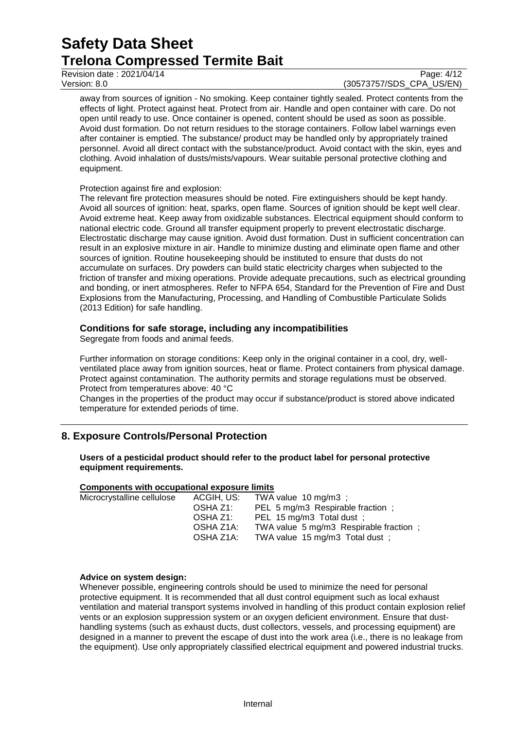Revision date : 2021/04/14 Page: 4/12<br>
Version: 8.0 (30573757/SDS CPA US/EN)

# (30573757/SDS\_CPA\_US/EN)

away from sources of ignition - No smoking. Keep container tightly sealed. Protect contents from the effects of light. Protect against heat. Protect from air. Handle and open container with care. Do not open until ready to use. Once container is opened, content should be used as soon as possible. Avoid dust formation. Do not return residues to the storage containers. Follow label warnings even after container is emptied. The substance/ product may be handled only by appropriately trained personnel. Avoid all direct contact with the substance/product. Avoid contact with the skin, eyes and clothing. Avoid inhalation of dusts/mists/vapours. Wear suitable personal protective clothing and equipment.

#### Protection against fire and explosion:

The relevant fire protection measures should be noted. Fire extinguishers should be kept handy. Avoid all sources of ignition: heat, sparks, open flame. Sources of ignition should be kept well clear. Avoid extreme heat. Keep away from oxidizable substances. Electrical equipment should conform to national electric code. Ground all transfer equipment properly to prevent electrostatic discharge. Electrostatic discharge may cause ignition. Avoid dust formation. Dust in sufficient concentration can result in an explosive mixture in air. Handle to minimize dusting and eliminate open flame and other sources of ignition. Routine housekeeping should be instituted to ensure that dusts do not accumulate on surfaces. Dry powders can build static electricity charges when subjected to the friction of transfer and mixing operations. Provide adequate precautions, such as electrical grounding and bonding, or inert atmospheres. Refer to NFPA 654, Standard for the Prevention of Fire and Dust Explosions from the Manufacturing, Processing, and Handling of Combustible Particulate Solids (2013 Edition) for safe handling.

#### **Conditions for safe storage, including any incompatibilities**

Segregate from foods and animal feeds.

Further information on storage conditions: Keep only in the original container in a cool, dry, wellventilated place away from ignition sources, heat or flame. Protect containers from physical damage. Protect against contamination. The authority permits and storage regulations must be observed. Protect from temperatures above: 40 °C

Changes in the properties of the product may occur if substance/product is stored above indicated temperature for extended periods of time.

# **8. Exposure Controls/Personal Protection**

#### **Users of a pesticidal product should refer to the product label for personal protective equipment requirements.**

## **Components with occupational exposure limits**

| Microcrystalline cellulose | ACGIH, US: | TWA value $10 \text{ mg/m}3$ ;         |
|----------------------------|------------|----------------------------------------|
|                            | OSHA Z1:   | PEL 5 mg/m3 Respirable fraction;       |
|                            | OSHA Z1:   | PEL 15 mg/m3 Total dust ;              |
|                            | OSHA Z1A:  | TWA value 5 mg/m3 Respirable fraction; |
|                            | OSHA Z1A:  | TWA value 15 mg/m3 Total dust ;        |
|                            |            |                                        |

#### **Advice on system design:**

Whenever possible, engineering controls should be used to minimize the need for personal protective equipment. It is recommended that all dust control equipment such as local exhaust ventilation and material transport systems involved in handling of this product contain explosion relief vents or an explosion suppression system or an oxygen deficient environment. Ensure that dusthandling systems (such as exhaust ducts, dust collectors, vessels, and processing equipment) are designed in a manner to prevent the escape of dust into the work area (i.e., there is no leakage from the equipment). Use only appropriately classified electrical equipment and powered industrial trucks.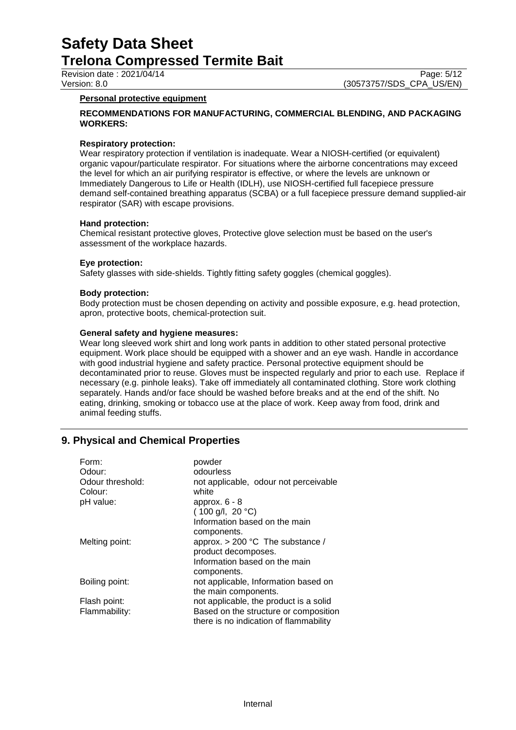#### **Personal protective equipment**

#### **RECOMMENDATIONS FOR MANUFACTURING, COMMERCIAL BLENDING, AND PACKAGING WORKERS:**

#### **Respiratory protection:**

Wear respiratory protection if ventilation is inadequate. Wear a NIOSH-certified (or equivalent) organic vapour/particulate respirator. For situations where the airborne concentrations may exceed the level for which an air purifying respirator is effective, or where the levels are unknown or Immediately Dangerous to Life or Health (IDLH), use NIOSH-certified full facepiece pressure demand self-contained breathing apparatus (SCBA) or a full facepiece pressure demand supplied-air respirator (SAR) with escape provisions.

#### **Hand protection:**

Chemical resistant protective gloves, Protective glove selection must be based on the user's assessment of the workplace hazards.

#### **Eye protection:**

Safety glasses with side-shields. Tightly fitting safety goggles (chemical goggles).

#### **Body protection:**

Body protection must be chosen depending on activity and possible exposure, e.g. head protection, apron, protective boots, chemical-protection suit.

#### **General safety and hygiene measures:**

Wear long sleeved work shirt and long work pants in addition to other stated personal protective equipment. Work place should be equipped with a shower and an eye wash. Handle in accordance with good industrial hygiene and safety practice. Personal protective equipment should be decontaminated prior to reuse. Gloves must be inspected regularly and prior to each use. Replace if necessary (e.g. pinhole leaks). Take off immediately all contaminated clothing. Store work clothing separately. Hands and/or face should be washed before breaks and at the end of the shift. No eating, drinking, smoking or tobacco use at the place of work. Keep away from food, drink and animal feeding stuffs.

## **9. Physical and Chemical Properties**

| Form:            | powder                                 |  |
|------------------|----------------------------------------|--|
| Odour:           | odourless                              |  |
| Odour threshold: | not applicable, odour not perceivable  |  |
| Colour:          | white                                  |  |
| pH value:        | approx. $6 - 8$                        |  |
|                  | $(100 g/l, 20 ^{\circ}C)$              |  |
|                  | Information based on the main          |  |
|                  | components.                            |  |
| Melting point:   | approx. $> 200$ °C The substance /     |  |
|                  | product decomposes.                    |  |
|                  | Information based on the main          |  |
|                  | components.                            |  |
| Boiling point:   | not applicable, Information based on   |  |
|                  | the main components.                   |  |
| Flash point:     | not applicable, the product is a solid |  |
| Flammability:    | Based on the structure or composition  |  |
|                  | there is no indication of flammability |  |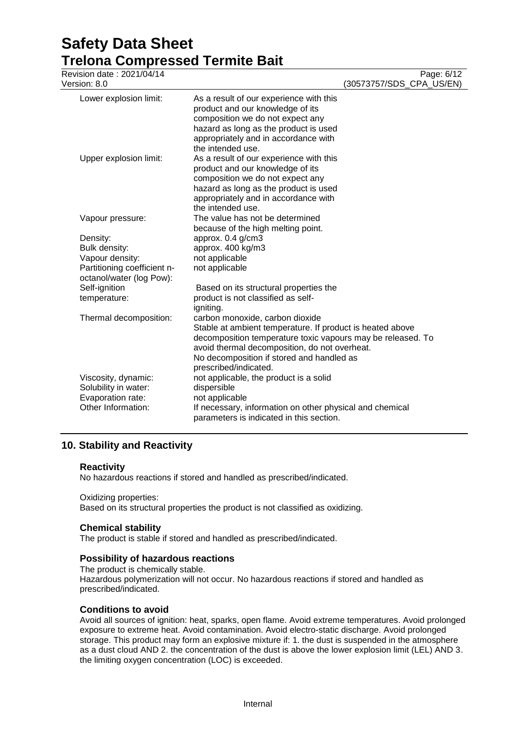# **Safety Data Sheet**

| <b>Trelona Compressed Termite Bait</b> |                                                             |                          |
|----------------------------------------|-------------------------------------------------------------|--------------------------|
| Revision date: 2021/04/14              |                                                             | Page: 6/12               |
| Version: 8.0                           |                                                             | (30573757/SDS_CPA_US/EN) |
| Lower explosion limit:                 | As a result of our experience with this                     |                          |
|                                        | product and our knowledge of its                            |                          |
|                                        | composition we do not expect any                            |                          |
|                                        | hazard as long as the product is used                       |                          |
|                                        | appropriately and in accordance with                        |                          |
|                                        | the intended use.                                           |                          |
| Upper explosion limit:                 | As a result of our experience with this                     |                          |
|                                        | product and our knowledge of its                            |                          |
|                                        | composition we do not expect any                            |                          |
|                                        | hazard as long as the product is used                       |                          |
|                                        | appropriately and in accordance with                        |                          |
|                                        | the intended use.                                           |                          |
| Vapour pressure:                       | The value has not be determined                             |                          |
|                                        | because of the high melting point.                          |                          |
| Density:                               | approx. 0.4 g/cm3                                           |                          |
| Bulk density:                          | approx. 400 kg/m3                                           |                          |
| Vapour density:                        | not applicable                                              |                          |
| Partitioning coefficient n-            | not applicable                                              |                          |
| octanol/water (log Pow):               |                                                             |                          |
| Self-ignition                          | Based on its structural properties the                      |                          |
| temperature:                           | product is not classified as self-                          |                          |
|                                        | igniting.                                                   |                          |
| Thermal decomposition:                 | carbon monoxide, carbon dioxide                             |                          |
|                                        | Stable at ambient temperature. If product is heated above   |                          |
|                                        | decomposition temperature toxic vapours may be released. To |                          |
|                                        | avoid thermal decomposition, do not overheat.               |                          |
|                                        | No decomposition if stored and handled as                   |                          |
|                                        | prescribed/indicated.                                       |                          |
| Viscosity, dynamic:                    | not applicable, the product is a solid                      |                          |
| Solubility in water:                   | dispersible                                                 |                          |
| Evaporation rate:                      | not applicable                                              |                          |
| Other Information:                     | If necessary, information on other physical and chemical    |                          |
|                                        | parameters is indicated in this section.                    |                          |

# **10. Stability and Reactivity**

## **Reactivity**

No hazardous reactions if stored and handled as prescribed/indicated.

Oxidizing properties: Based on its structural properties the product is not classified as oxidizing.

## **Chemical stability**

The product is stable if stored and handled as prescribed/indicated.

## **Possibility of hazardous reactions**

The product is chemically stable. Hazardous polymerization will not occur. No hazardous reactions if stored and handled as prescribed/indicated.

## **Conditions to avoid**

Avoid all sources of ignition: heat, sparks, open flame. Avoid extreme temperatures. Avoid prolonged exposure to extreme heat. Avoid contamination. Avoid electro-static discharge. Avoid prolonged storage. This product may form an explosive mixture if: 1. the dust is suspended in the atmosphere as a dust cloud AND 2. the concentration of the dust is above the lower explosion limit (LEL) AND 3. the limiting oxygen concentration (LOC) is exceeded.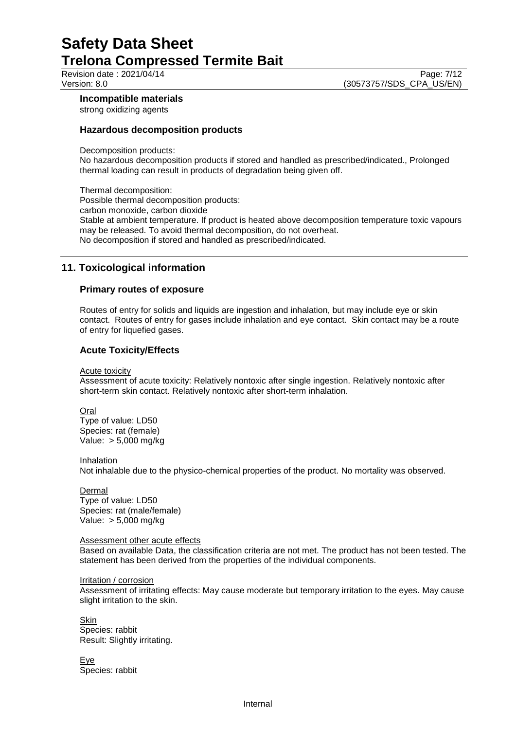Revision date : 2021/04/14 Page: 7/12<br>Version: 8.0 (30573757/SDS\_CPA\_US/EN) (30573757/SDS\_CPA\_US/EN)

## **Incompatible materials**

strong oxidizing agents

## **Hazardous decomposition products**

Decomposition products:

No hazardous decomposition products if stored and handled as prescribed/indicated., Prolonged thermal loading can result in products of degradation being given off.

Thermal decomposition: Possible thermal decomposition products: carbon monoxide, carbon dioxide Stable at ambient temperature. If product is heated above decomposition temperature toxic vapours may be released. To avoid thermal decomposition, do not overheat. No decomposition if stored and handled as prescribed/indicated.

# **11. Toxicological information**

## **Primary routes of exposure**

Routes of entry for solids and liquids are ingestion and inhalation, but may include eye or skin contact. Routes of entry for gases include inhalation and eye contact. Skin contact may be a route of entry for liquefied gases.

## **Acute Toxicity/Effects**

Acute toxicity

Assessment of acute toxicity: Relatively nontoxic after single ingestion. Relatively nontoxic after short-term skin contact. Relatively nontoxic after short-term inhalation.

Oral

Type of value: LD50 Species: rat (female) Value: > 5,000 mg/kg

Inhalation

Not inhalable due to the physico-chemical properties of the product. No mortality was observed.

Dermal Type of value: LD50 Species: rat (male/female) Value: > 5,000 mg/kg

#### Assessment other acute effects

Based on available Data, the classification criteria are not met. The product has not been tested. The statement has been derived from the properties of the individual components.

Irritation / corrosion

Assessment of irritating effects: May cause moderate but temporary irritation to the eyes. May cause slight irritation to the skin.

Skin Species: rabbit Result: Slightly irritating.

Eye Species: rabbit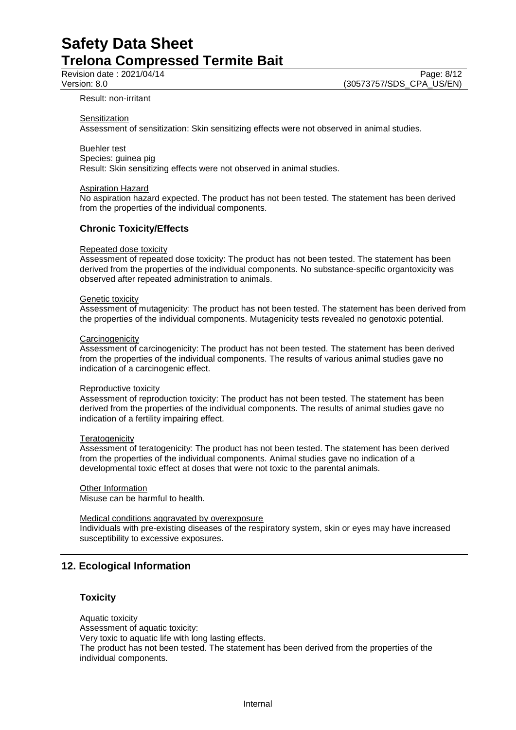#### Result: non-irritant

#### **Sensitization**

Assessment of sensitization: Skin sensitizing effects were not observed in animal studies.

Buehler test

Species: guinea pig Result: Skin sensitizing effects were not observed in animal studies.

#### Aspiration Hazard

No aspiration hazard expected. The product has not been tested. The statement has been derived from the properties of the individual components.

#### **Chronic Toxicity/Effects**

#### Repeated dose toxicity

Assessment of repeated dose toxicity: The product has not been tested. The statement has been derived from the properties of the individual components. No substance-specific organtoxicity was observed after repeated administration to animals.

#### Genetic toxicity

Assessment of mutagenicity: The product has not been tested. The statement has been derived from the properties of the individual components. Mutagenicity tests revealed no genotoxic potential.

#### **Carcinogenicity**

Assessment of carcinogenicity: The product has not been tested. The statement has been derived from the properties of the individual components. The results of various animal studies gave no indication of a carcinogenic effect.

#### Reproductive toxicity

Assessment of reproduction toxicity: The product has not been tested. The statement has been derived from the properties of the individual components. The results of animal studies gave no indication of a fertility impairing effect.

#### **Teratogenicity**

Assessment of teratogenicity: The product has not been tested. The statement has been derived from the properties of the individual components. Animal studies gave no indication of a developmental toxic effect at doses that were not toxic to the parental animals.

#### **Other Information**

Misuse can be harmful to health.

#### Medical conditions aggravated by overexposure

Individuals with pre-existing diseases of the respiratory system, skin or eyes may have increased susceptibility to excessive exposures.

# **12. Ecological Information**

#### **Toxicity**

Aquatic toxicity Assessment of aquatic toxicity: Very toxic to aquatic life with long lasting effects. The product has not been tested. The statement has been derived from the properties of the individual components.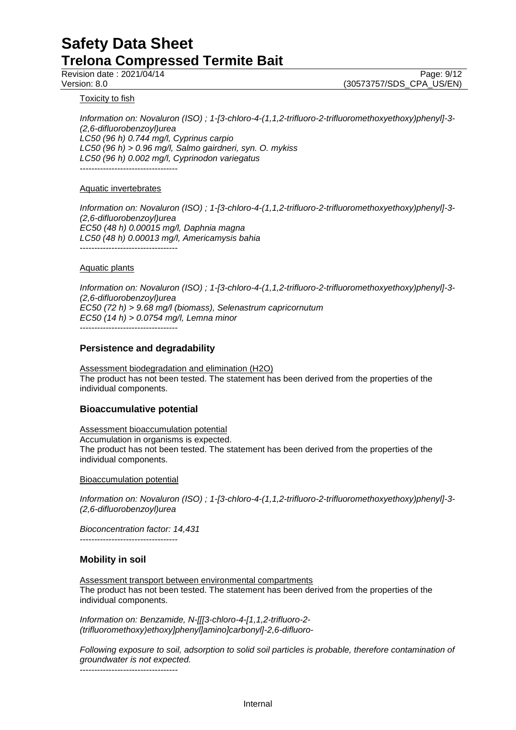Revision date : 2021/04/14 Page: 9/12<br>Version: 8.0 (30573757/SDS CPA US/EN) (30573757/SDS\_CPA\_US/EN)

**Toxicity to fish** 

*Information on: Novaluron (ISO) ; 1-[3-chloro-4-(1,1,2-trifluoro-2-trifluoromethoxyethoxy)phenyl]-3- (2,6-difluorobenzoyl)urea LC50 (96 h) 0.744 mg/l, Cyprinus carpio LC50 (96 h) > 0.96 mg/l, Salmo gairdneri, syn. O. mykiss LC50 (96 h) 0.002 mg/l, Cyprinodon variegatus* ----------------------------------

#### Aquatic invertebrates

*Information on: Novaluron (ISO) ; 1-[3-chloro-4-(1,1,2-trifluoro-2-trifluoromethoxyethoxy)phenyl]-3- (2,6-difluorobenzoyl)urea EC50 (48 h) 0.00015 mg/l, Daphnia magna LC50 (48 h) 0.00013 mg/l, Americamysis bahia* ----------------------------------

#### Aquatic plants

*Information on: Novaluron (ISO) ; 1-[3-chloro-4-(1,1,2-trifluoro-2-trifluoromethoxyethoxy)phenyl]-3- (2,6-difluorobenzoyl)urea EC50 (72 h) > 9.68 mg/l (biomass), Selenastrum capricornutum EC50 (14 h) > 0.0754 mg/l, Lemna minor* ----------------------------------

#### **Persistence and degradability**

Assessment biodegradation and elimination (H2O) The product has not been tested. The statement has been derived from the properties of the individual components.

## **Bioaccumulative potential**

Assessment bioaccumulation potential Accumulation in organisms is expected. The product has not been tested. The statement has been derived from the properties of the individual components.

Bioaccumulation potential

*Information on: Novaluron (ISO) ; 1-[3-chloro-4-(1,1,2-trifluoro-2-trifluoromethoxyethoxy)phenyl]-3- (2,6-difluorobenzoyl)urea*

*Bioconcentration factor: 14,431* ----------------------------------

## **Mobility in soil**

Assessment transport between environmental compartments The product has not been tested. The statement has been derived from the properties of the individual components.

*Information on: Benzamide, N-[[[3-chloro-4-[1,1,2-trifluoro-2- (trifluoromethoxy)ethoxy]phenyl]amino]carbonyl]-2,6-difluoro-*

*Following exposure to soil, adsorption to solid soil particles is probable, therefore contamination of groundwater is not expected.* ----------------------------------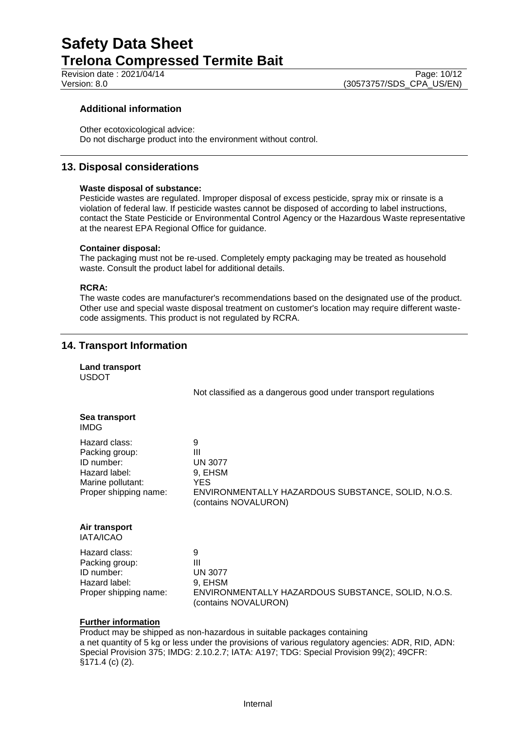## **Additional information**

Other ecotoxicological advice: Do not discharge product into the environment without control.

# **13. Disposal considerations**

#### **Waste disposal of substance:**

Pesticide wastes are regulated. Improper disposal of excess pesticide, spray mix or rinsate is a violation of federal law. If pesticide wastes cannot be disposed of according to label instructions, contact the State Pesticide or Environmental Control Agency or the Hazardous Waste representative at the nearest EPA Regional Office for guidance.

#### **Container disposal:**

The packaging must not be re-used. Completely empty packaging may be treated as household waste. Consult the product label for additional details.

#### **RCRA:**

The waste codes are manufacturer's recommendations based on the designated use of the product. Other use and special waste disposal treatment on customer's location may require different wastecode assigments. This product is not regulated by RCRA.

# **14. Transport Information**

| <b>Land transport</b><br><b>USDOT</b>                                                                        |                                                                                                                           |
|--------------------------------------------------------------------------------------------------------------|---------------------------------------------------------------------------------------------------------------------------|
|                                                                                                              | Not classified as a dangerous good under transport regulations                                                            |
| Sea transport<br><b>IMDG</b>                                                                                 |                                                                                                                           |
| Hazard class:<br>Packing group:<br>ID number:<br>Hazard label:<br>Marine pollutant:<br>Proper shipping name: | 9<br>Ш<br><b>UN 3077</b><br>9, EHSM<br>YES.<br>ENVIRONMENTALLY HAZARDOUS SUBSTANCE, SOLID, N.O.S.<br>(contains NOVALURON) |
| Air transport<br>IATA/ICAO                                                                                   |                                                                                                                           |
| Hazard class:<br>Packing group:<br>ID number:<br>Hazard label:<br>Proper shipping name:                      | 9<br>Ш<br><b>UN 3077</b><br>9, EHSM<br>ENVIRONMENTALLY HAZARDOUS SUBSTANCE, SOLID, N.O.S.<br>(contains NOVALURON)         |

## **Further information**

Product may be shipped as non-hazardous in suitable packages containing a net quantity of 5 kg or less under the provisions of various regulatory agencies: ADR, RID, ADN: Special Provision 375; IMDG: 2.10.2.7; IATA: A197; TDG: Special Provision 99(2); 49CFR: §171.4 (c) (2).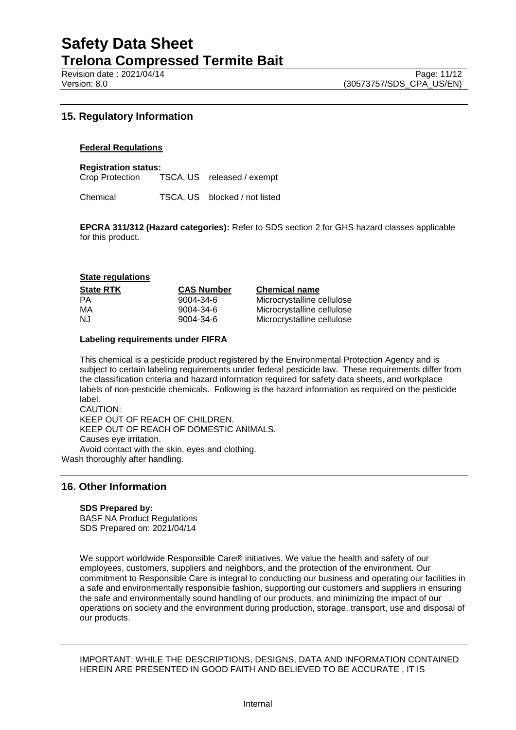Revision date : 2021/04/14 Page: 11/12<br>Version: 8.0 (30573757/SDS CPA US/EN)

# **15. Regulatory Information**

#### **Federal Regulations**

**Registration status:**

Crop Protection TSCA, US released / exempt

Chemical TSCA, US blocked / not listed

**EPCRA 311/312 (Hazard categories):** Refer to SDS section 2 for GHS hazard classes applicable for this product.

#### **State regulations**

| <b>State RTK</b> | <b>CAS Number</b> | <b>Chemical name</b>       |
|------------------|-------------------|----------------------------|
| <b>PA</b>        | 9004-34-6         | Microcrystalline cellulose |
| МA               | 9004-34-6         | Microcrystalline cellulose |
| NJ.              | 9004-34-6         | Microcrystalline cellulose |

#### **Labeling requirements under FIFRA**

This chemical is a pesticide product registered by the Environmental Protection Agency and is subject to certain labeling requirements under federal pesticide law. These requirements differ from the classification criteria and hazard information required for safety data sheets, and workplace labels of non-pesticide chemicals. Following is the hazard information as required on the pesticide label. CAUTION:

KEEP OUT OF REACH OF CHILDREN. KEEP OUT OF REACH OF DOMESTIC ANIMALS. Causes eye irritation. Avoid contact with the skin, eyes and clothing. Wash thoroughly after handling.

## **16. Other Information**

#### **SDS Prepared by:**

BASF NA Product Regulations SDS Prepared on: 2021/04/14

We support worldwide Responsible Care® initiatives. We value the health and safety of our employees, customers, suppliers and neighbors, and the protection of the environment. Our commitment to Responsible Care is integral to conducting our business and operating our facilities in a safe and environmentally responsible fashion, supporting our customers and suppliers in ensuring the safe and environmentally sound handling of our products, and minimizing the impact of our operations on society and the environment during production, storage, transport, use and disposal of our products.

IMPORTANT: WHILE THE DESCRIPTIONS, DESIGNS, DATA AND INFORMATION CONTAINED HEREIN ARE PRESENTED IN GOOD FAITH AND BELIEVED TO BE ACCURATE , IT IS